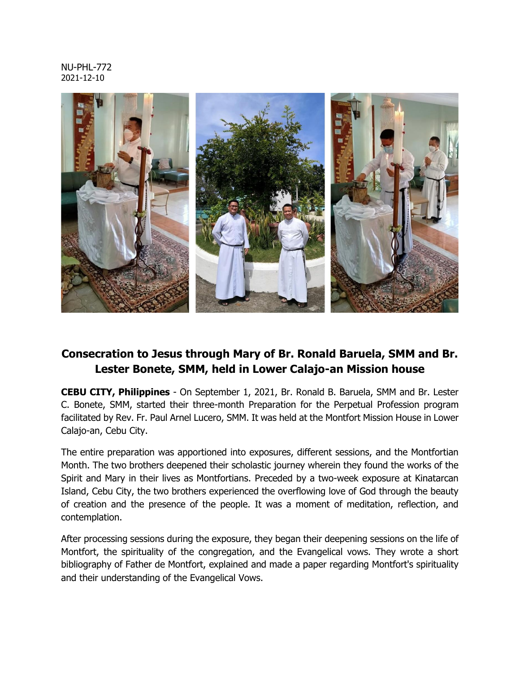## NU-PHL-772 2021-12-10



## **Consecration to Jesus through Mary of Br. Ronald Baruela, SMM and Br. Lester Bonete, SMM, held in Lower Calajo-an Mission house**

**CEBU CITY, Philippines** - On September 1, 2021, Br. Ronald B. Baruela, SMM and Br. Lester C. Bonete, SMM, started their three-month Preparation for the Perpetual Profession program facilitated by Rev. Fr. Paul Arnel Lucero, SMM. It was held at the Montfort Mission House in Lower Calajo-an, Cebu City.

The entire preparation was apportioned into exposures, different sessions, and the Montfortian Month. The two brothers deepened their scholastic journey wherein they found the works of the Spirit and Mary in their lives as Montfortians. Preceded by a two-week exposure at Kinatarcan Island, Cebu City, the two brothers experienced the overflowing love of God through the beauty of creation and the presence of the people. It was a moment of meditation, reflection, and contemplation.

After processing sessions during the exposure, they began their deepening sessions on the life of Montfort, the spirituality of the congregation, and the Evangelical vows. They wrote a short bibliography of Father de Montfort, explained and made a paper regarding Montfort's spirituality and their understanding of the Evangelical Vows.